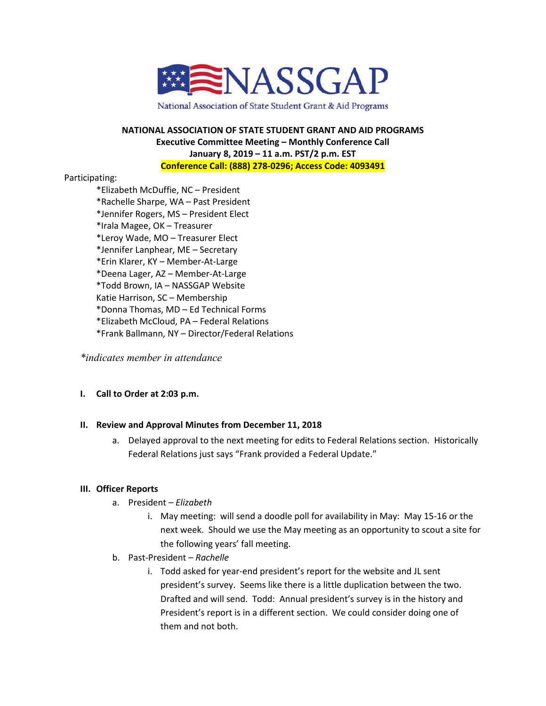

National Association of State Student Grant & Aid Programs

# **NATIONAL ASSOCIATION OF STATE STUDENT GRANT AND AID PROGRAMS Executive Committee Meeting – Monthly Conference Call January 8, 2019 – 11 a.m. PST/2 p.m. EST Conference Call: (888) 278-0296; Access Code: 4093491**

### Participating:

\*Elizabeth McDuffie, NC – President \*Rachelle Sharpe, WA – Past President \*Jennifer Rogers, MS – President Elect \*Irala Magee, OK – Treasurer \*Leroy Wade, MO – Treasurer Elect \*Jennifer Lanphear, ME – Secretary \*Erin Klarer, KY – Member-At-Large \*Deena Lager, AZ – Member-At-Large \*Todd Brown, IA – NASSGAP Website Katie Harrison, SC – Membership \*Donna Thomas, MD – Ed Technical Forms \*Elizabeth McCloud, PA – Federal Relations \*Frank Ballmann, NY – Director/Federal Relations

*\*indicates member in attendance* 

### **I. Call to Order at 2:03 p.m.**

### **II. Review and Approval Minutes from December 11, 2018**

a. Delayed approval to the next meeting for edits to Federal Relations section. Historically Federal Relations just says "Frank provided a Federal Update."

### **III. Officer Reports**

- a. President *Elizabeth*
	- i. May meeting: will send a doodle poll for availability in May: May 15-16 or the next week. Should we use the May meeting as an opportunity to scout a site for the following years' fall meeting.
- b. Past-President *Rachelle*
	- i. Todd asked for year-end president's report for the website and JL sent president's survey. Seems like there is a little duplication between the two. Drafted and will send. Todd: Annual president's survey is in the history and President's report is in a different section. We could consider doing one of them and not both.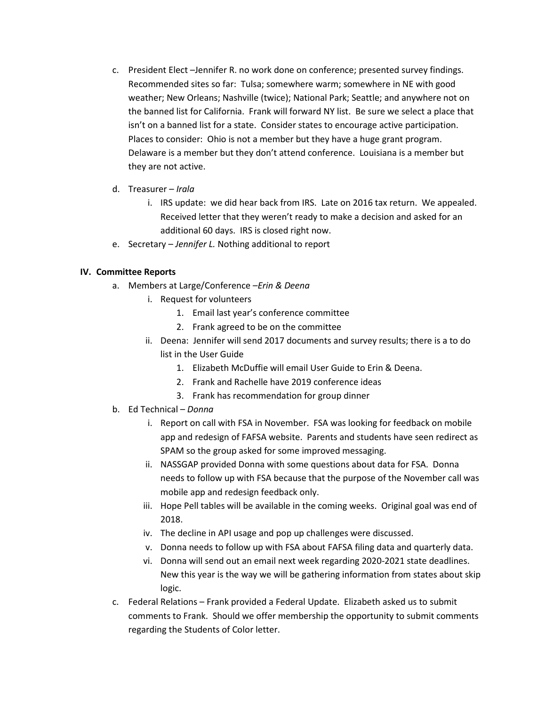- c. President Elect –Jennifer R. no work done on conference; presented survey findings. Recommended sites so far: Tulsa; somewhere warm; somewhere in NE with good weather; New Orleans; Nashville (twice); National Park; Seattle; and anywhere not on the banned list for California. Frank will forward NY list. Be sure we select a place that isn't on a banned list for a state. Consider states to encourage active participation. Places to consider: Ohio is not a member but they have a huge grant program. Delaware is a member but they don't attend conference. Louisiana is a member but they are not active.
- d. Treasurer *Irala*
	- i. IRS update: we did hear back from IRS. Late on 2016 tax return. We appealed. Received letter that they weren't ready to make a decision and asked for an additional 60 days. IRS is closed right now.
- e. Secretary *Jennifer L.* Nothing additional to report

# **IV. Committee Reports**

- a. Members at Large/Conference –*Erin & Deena*
	- i. Request for volunteers
		- 1. Email last year's conference committee
		- 2. Frank agreed to be on the committee
	- ii. Deena: Jennifer will send 2017 documents and survey results; there is a to do list in the User Guide
		- 1. Elizabeth McDuffie will email User Guide to Erin & Deena.
		- 2. Frank and Rachelle have 2019 conference ideas
		- 3. Frank has recommendation for group dinner
- b. Ed Technical *Donna*
	- i. Report on call with FSA in November. FSA was looking for feedback on mobile app and redesign of FAFSA website. Parents and students have seen redirect as SPAM so the group asked for some improved messaging.
	- ii. NASSGAP provided Donna with some questions about data for FSA. Donna needs to follow up with FSA because that the purpose of the November call was mobile app and redesign feedback only.
	- iii. Hope Pell tables will be available in the coming weeks. Original goal was end of 2018.
	- iv. The decline in API usage and pop up challenges were discussed.
	- v. Donna needs to follow up with FSA about FAFSA filing data and quarterly data.
	- vi. Donna will send out an email next week regarding 2020-2021 state deadlines. New this year is the way we will be gathering information from states about skip logic.
- c. Federal Relations Frank provided a Federal Update. Elizabeth asked us to submit comments to Frank. Should we offer membership the opportunity to submit comments regarding the Students of Color letter.